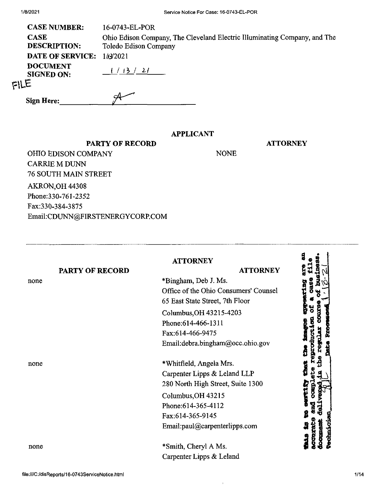|      | <b>CASE NUMBER:</b>                  | 16-0743-EL-POR                                                                                     |
|------|--------------------------------------|----------------------------------------------------------------------------------------------------|
|      | <b>CASE</b><br><b>DESCRIPTION:</b>   | Ohio Edison Company, The Cleveland Electric Illuminating Company, and The<br>Toledo Edison Company |
|      | <b>DATE OF SERVICE:</b>              | 1/2/2021                                                                                           |
|      | <b>DOCUMENT</b><br><b>SIGNED ON:</b> | (113/21)                                                                                           |
| FILE |                                      |                                                                                                    |
|      | <b>Sign Here:</b>                    | ≃                                                                                                  |

## **APPLICANT**

NONE

**ATTORNEY**

**PARTY OF RECORD** OHIO EDISON COMPANY CARRIE M DUNN 76 SOUTH MAIN STREET AKRON,OH 44308 Phone:330-761-2352 Fax:330-384-3875 Email:CDUNN@FIRSTENERGYCORP.COM

| <b>PARTY OF RECORD</b> | <b>ATTORNEY</b><br><b>ATTORNEY</b>    |
|------------------------|---------------------------------------|
|                        | *Bingham, Deb J. Ms.                  |
|                        | Office of the Ohio Consumers' Counsel |
|                        | 65 East State Street, 7th Floor       |
|                        | Columbus, OH 43215-4203               |
|                        | Phone: 614-466-1311                   |
|                        | Fax:614-466-9475                      |
|                        | Email:debra.bingham@occ.ohio.gov      |
|                        | *Whitfield, Angela Mrs.               |
|                        | Carpenter Lipps & Leland LLP          |
|                        | 280 North High Street, Suite 1300     |
|                        | Columbus, OH 43215                    |
|                        | Phone: 614-365-4112                   |
|                        | Fax:614-365-9145                      |
|                        | Email:paul@carpenterlipps.com         |
|                        | *Smith, Cheryl A Ms.                  |
|                        | Carpenter Lipps & Leland              |

 $\mathfrak{r}$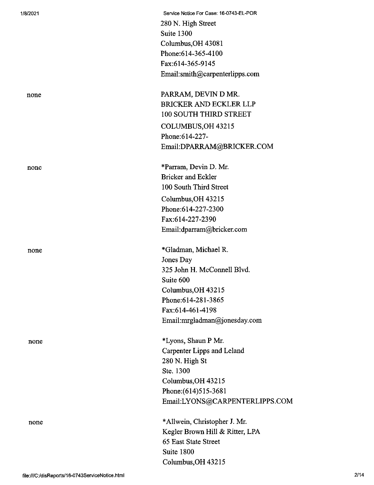| 1/8/2021 | Service Notice For Case: 16-0743-EL-POR |
|----------|-----------------------------------------|
|          | 280 N. High Street                      |
|          | Suite 1300                              |
|          | Columbus, OH 43081                      |
|          | Phone:614-365-4100                      |
|          | Fax:614-365-9145                        |
|          | Email:smith@carpenterlipps.com          |
| none     | PARRAM, DEVIN D MR.                     |
|          | <b>BRICKER AND ECKLER LLP</b>           |
|          | 100 SOUTH THIRD STREET                  |
|          | COLUMBUS, OH 43215                      |
|          | Phone: 614-227-                         |
|          | Email:DPARRAM@BRICKER.COM               |
| none     | *Parram, Devin D. Mr.                   |
|          | <b>Bricker and Eckler</b>               |
|          | 100 South Third Street                  |
|          | Columbus, OH 43215                      |
|          | Phone: 614-227-2300                     |
|          | Fax:614-227-2390                        |
|          | Email:dparram@bricker.com               |
| none     | *Gladman, Michael R.                    |
|          | Jones Day                               |
|          | 325 John H. McConnell Blvd.             |
|          | Suite 600                               |
|          | Columbus, OH 43215                      |
|          | Phone: 614-281-3865                     |
|          | Fax:614-461-4198                        |
|          | Email:mrgladman@jonesday.com            |
| none     | *Lyons, Shaun P Mr.                     |
|          | Carpenter Lipps and Leland              |
|          | 280 N. High St                          |
|          | Ste. 1300                               |
|          | Columbus, OH 43215                      |
|          | Phone: (614) 515-3681                   |
|          | Email:LYONS@CARPENTERLIPPS.COM          |
| none     | *Allwein, Christopher J. Mr.            |
|          | Kegler Brown Hill & Ritter, LPA         |
|          | 65 East State Street                    |
|          | Suite 1800                              |
|          | Columbus, OH 43215                      |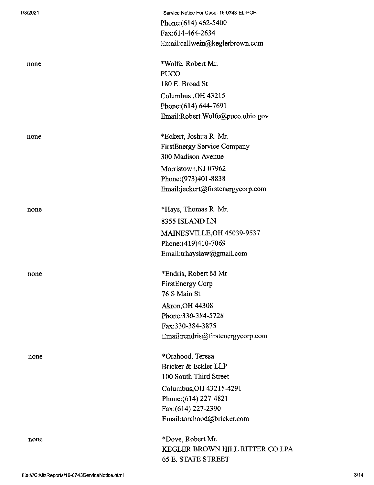| 1/8/2021 | Service Notice For Case: 16-0743-EL-POR |
|----------|-----------------------------------------|
|          | Phone: (614) 462-5400                   |
|          | Fax:614-464-2634                        |
|          | Email:callwein@keglerbrown.com          |
| none     | *Wolfe, Robert Mr.                      |
|          | <b>PUCO</b>                             |
|          | 180 E. Broad St                         |
|          | Columbus, OH 43215                      |
|          | Phone: (614) 644-7691                   |
|          | Email:Robert.Wolfe@puco.ohio.gov        |
| none     | *Eckert, Joshua R. Mr.                  |
|          | <b>FirstEnergy Service Company</b>      |
|          | 300 Madison Avenue                      |
|          | Morristown, NJ 07962                    |
|          | Phone: (973) 401-8838                   |
|          | Email:jeckert@firstenergycorp.com       |
| none     | *Hays, Thomas R. Mr.                    |
|          | 8355 ISLAND LN                          |
|          | MAINESVILLE, OH 45039-9537              |
|          | Phone: (419)410-7069                    |
|          | Email:trhayslaw@gmail.com               |
| none     | *Endris, Robert M Mr                    |
|          | <b>FirstEnergy Corp</b>                 |
|          | 76 S Main St                            |
|          | <b>Akron, OH 44308</b>                  |
|          | Phone: 330-384-5728                     |
|          | Fax:330-384-3875                        |
|          | Email:rendris@firstenergycorp.com       |
| none     | *Orahood, Teresa                        |
|          | Bricker & Eckler LLP                    |
|          | 100 South Third Street                  |
|          | Columbus, OH 43215-4291                 |
|          | Phone: (614) 227-4821                   |
|          | Fax: (614) 227-2390                     |
|          | Email:torahood@bricker.com              |
| none     | *Dove, Robert Mr.                       |
|          | KEGLER BROWN HILL RITTER CO LPA         |
|          | <b>65 E. STATE STREET</b>               |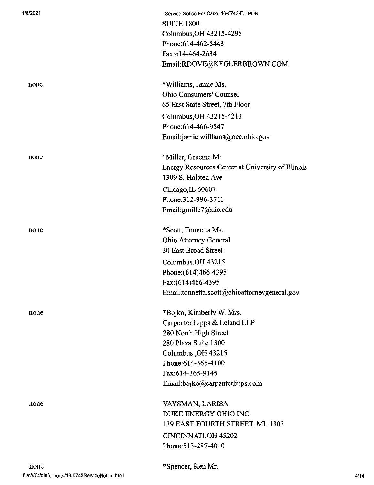| 1/8/2021 | Service Notice For Case: 16-0743-EL-POR<br><b>SUITE 1800</b><br>Columbus, OH 43215-4295<br>Phone:614-462-5443<br>Fax:614-464-2634<br>Email:RDOVE@KEGLERBROWN.COM                                             |
|----------|--------------------------------------------------------------------------------------------------------------------------------------------------------------------------------------------------------------|
| none     | *Williams, Jamie Ms.<br><b>Ohio Consumers' Counsel</b><br>65 East State Street, 7th Floor<br>Columbus, OH 43215-4213<br>Phone: 614-466-9547<br>Email:jamie.williams@occ.ohio.gov                             |
| none     | *Miller, Graeme Mr.<br>Energy Resources Center at University of Illinois<br>1309 S. Halsted Ave<br>Chicago, IL 60607<br>Phone: 312-996-3711<br>Email:gmille7@uic.edu                                         |
| none     | *Scott, Tonnetta Ms.<br>Ohio Attorney General<br>30 East Broad Street<br>Columbus, OH 43215<br>Phone: (614) 466-4395<br>Fax:(614)466-4395<br>Email:tonnetta.scott@ohioattorneygeneral.gov                    |
| none     | *Bojko, Kimberly W. Mrs.<br>Carpenter Lipps & Leland LLP<br>280 North High Street<br>280 Plaza Suite 1300<br>Columbus, OH 43215<br>Phone: 614-365-4100<br>Fax:614-365-9145<br>Email:bojko@carpenterlipps.com |
| none     | VAYSMAN, LARISA<br>DUKE ENERGY OHIO INC<br>139 EAST FOURTH STREET, ML 1303<br>CINCINNATI, OH 45202<br>Phone: 513-287-4010                                                                                    |

\*Spencer, Ken Mr.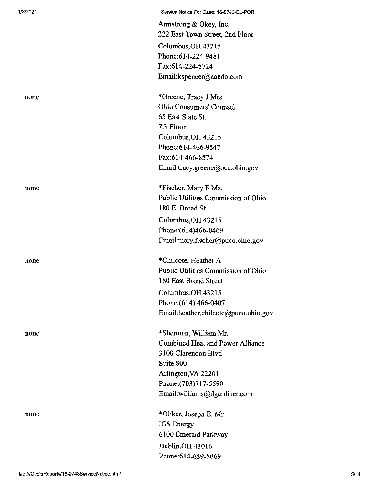1/8/2021 Service Notice For Case: 16-0743-EL-POR

Armstrong & Okey, Inc. 222 East Town Street, 2nd Floor CoIumbus,OH 43215 Phone:614-224-9481 Fax:614-224-5724 Email:kspencer@aando.com

none \*Greene, Tracy J Mrs. Ohio Consumers' Counsel 65 East State St. 7th Floor CoIumbus,OH 43215 Phone:614-466-9547 Fax:614-466-8574 Email:tracy.greene@occ.ohio.gov

none \*Fischer, Mary E Ms. Public Utilities Commission of Ohio 180 E. Broad St. Columbus,OH 43215 Phone:(614)466-0469 Email:mary.fischer@puco.ohio.gov

none \*Chilcote, Heather A Public Utilities Commission of Ohio 180 East Broad Street Columbus,OH 43215 Phone:(614) 466-0407 Email:heather.chilcote@puco.ohio.gov

none \*Sherman, William Mr. Combined Heat and Power Alliance 3100 Clarendon Blvd Suite 800 Arlington,VA 22201 Phone:(703)717-5590 Email:williams@dgardiner.com

none \*01iker, Joseph E. Mr. IGS Energy 6100 Emerald Parkway Dublin,OH 43016 Phone:614-659-5069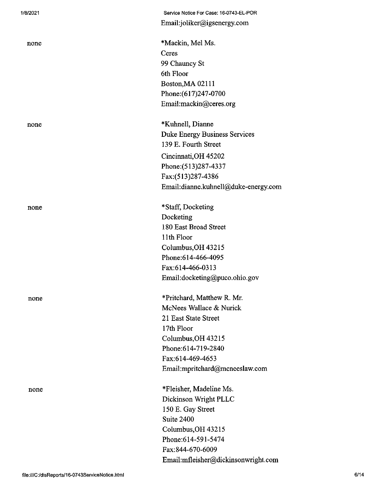none

none

none

none

Service Notice For Case: 16-0743-EL-POR Email:joliker@igsenergy.com

\*Mackin, Mel Ms. Ceres 99 Chauncy St 6th Floor Boston,MA 02111 Phone:(617)247-0700 Email:mackin@ceres.org

none \*Kuhnell, Dianne Duke Energy Business Services 139 E. Fourth Street Cincinnati,OH 45202 Phone:(513)287-4337 Fax:(513)287-4386 Email:dianne.kuhnell@duke-energy.com

> \*Staff, Docketing Docketing 180 East Broad Street 11th Floor Columbus,OH 43215 Phone:614-466-4095 Fax:614-466-0313 Email:docketing@puco.ohio.gov

\*Pritchard, Matthew R. Mr. McNees Wallace & Nurick 21 East State Street 17th Floor Columbus,OH 43215 Phone:614-719-2840 Fax:614-469-4653 Email:mpritchard@mcneeslaw.com

\*Fleisher, Madeline Ms. Dickinson Wright PLLC 150 E. Gay Street Suite 2400 Columbus,OH 43215 Phone:614-591-5474 Fax:844-670-6009 Email:mfleisher@dickinsonwright.com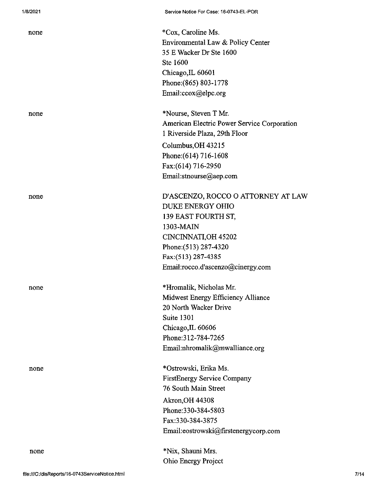| none |  |  |
|------|--|--|
| none |  |  |
| none |  |  |
| none |  |  |
| none |  |  |

\*Cox, Caroline Ms. Environmental Law & Policy Center 35EWackerDr Ste 1600 Ste 1600 Chicago,IL 60601 Phone:(865) 803-1778 Email:ccox@elpc.org

\*Nourse, Steven T Mr. American Electric Power Service Corporation <sup>1</sup> Riverside Plaza, 29th Floor Columbus,OH 43215 Phone: (614) 716-1608 Fax:(614) 716-2950 Email:stnourse@aep.com

D'ASCENZO, ROCCO O ATTORNEY AT LAW DUKE ENERGY OHIO 139 EAST FOURTH ST, 1303-MAIN CINCINNATLOH 45202 Phone:(513) 287-4320 Fax:(513) 287-4385 Email:rocco.d'ascenzo@cinergy.com

\*Hromalik, Nicholas Mr. Midwest Energy Efficiency Alliance 20 North Wacker Drive Suite 1301 Chicago,IL 60606 Phone:312-784-7265 Email:nhromalik@mwalliance.org

\*Ostrowski, Erika Ms. FirstEnergy Service Company 76 South Main Street Akron,OH 44308 Phone:330-384-5803 Fax:330-384-3875 Email:eostrowski@firstenergycorp.com

\*Nix, Shauni Mrs. Ohio Energy Project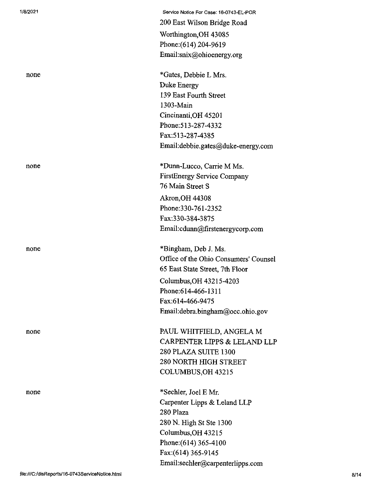| 1/8/2021 | Service Notice For Case: 16-0743-EL-POR |
|----------|-----------------------------------------|
|          | 200 East Wilson Bridge Road             |
|          | Worthington, OH 43085                   |
|          | Phone: (614) 204-9619                   |
|          | Email:snix@ohioenergy.org               |
| none     | *Gates, Debbie L Mrs.                   |
|          | Duke Energy                             |
|          | 139 East Fourth Street                  |
|          | 1303-Main                               |
|          | Cincinanti, OH 45201                    |
|          | Phone: 513-287-4332                     |
|          | Fax:513-287-4385                        |
|          | Email:debbie.gates@duke-energy.com      |
| none     | *Dunn-Lucco, Carrie M Ms.               |
|          | FirstEnergy Service Company             |
|          | 76 Main Street S                        |
|          | Akron, OH 44308                         |
|          | Phone: 330-761-2352                     |
|          | Fax:330-384-3875                        |
|          | Email:cdunn@firstenergycorp.com         |
| none     | *Bingham, Deb J. Ms.                    |
|          | Office of the Ohio Consumers' Counsel   |
|          | 65 East State Street, 7th Floor         |
|          | Columbus, OH 43215-4203                 |
|          | Phone:614-466-1311                      |
|          | Fax:614-466-9475                        |
|          | Email:debra.bingham@occ.ohio.gov        |
| none     | PAUL WHITFIELD, ANGELA M                |
|          | CARPENTER LIPPS & LELAND LLP            |
|          | 280 PLAZA SUITE 1300                    |
|          | <b>280 NORTH HIGH STREET</b>            |
|          | COLUMBUS, OH 43215                      |
| none     | *Sechler, Joel E Mr.                    |
|          | Carpenter Lipps & Leland LLP            |
|          | 280 Plaza                               |
|          | 280 N. High St Ste 1300                 |
|          | Columbus, OH 43215                      |
|          | Phone: $(614)$ 365-4100                 |
|          | Fax:(614) 365-9145                      |
|          | Email:sechler@carpenterlipps.com        |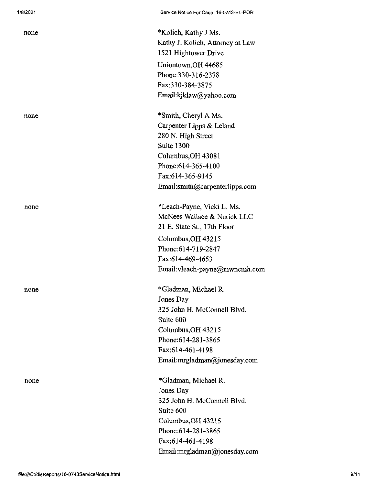| none | *Kolich, Kathy J Ms.<br>Kathy J. Kolich, Attorney at Law<br>1521 Hightower Drive |
|------|----------------------------------------------------------------------------------|
|      | Uniontown, OH 44685                                                              |
|      | Phone: 330-316-2378                                                              |
|      | Fax: 330-384-3875                                                                |
|      | Email:kjklaw@yahoo.com                                                           |
| none | *Smith, Cheryl A Ms.                                                             |
|      | Carpenter Lipps & Leland                                                         |
|      | 280 N. High Street                                                               |
|      | Suite 1300                                                                       |
|      | Columbus, OH 43081                                                               |
|      | Phone: 614-365-4100                                                              |
|      | Fax:614-365-9145                                                                 |
|      | Email:smith@carpenterlipps.com                                                   |
| none | *Leach-Payne, Vicki L. Ms.                                                       |
|      | McNees Wallace & Nurick LLC                                                      |
|      | 21 E. State St., 17th Floor                                                      |
|      | Columbus, OH 43215                                                               |
|      | Phone:614-719-2847                                                               |
|      | Fax:614-469-4653                                                                 |
|      | Email:vleach-payne@mwncmh.com                                                    |
| none | *Gladman, Michael R.                                                             |
|      | Jones Day                                                                        |
|      | 325 John H. McConnell Blvd.                                                      |
|      | Suite 600                                                                        |
|      | Columbus, OH 43215                                                               |
|      | Phone: 614-281-3865                                                              |
|      | Fax:614-461-4198                                                                 |
|      | Email:mrgladman@jonesday.com                                                     |
| none | *Gladman, Michael R.                                                             |
|      | Jones Day                                                                        |
|      | 325 John H. McConnell Blvd.                                                      |
|      | Suite 600                                                                        |
|      | Columbus, OH 43215                                                               |
|      | Phone: 614-281-3865                                                              |
|      | Fax:614-461-4198                                                                 |
|      | Email:mrgladman@jonesday.com                                                     |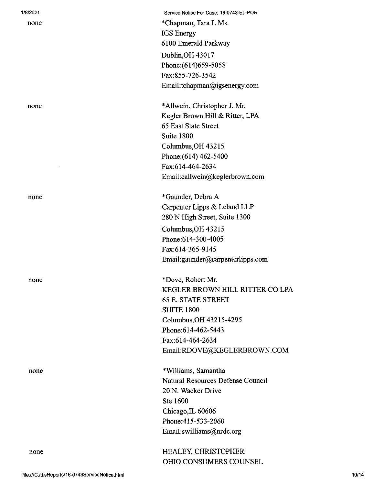#### 1/8/2021

none

none

Service Notice For Case: 16-0743-EL-POR \*Chapman, Tara L Ms. IGS Energy 6100 Emerald Parkway Dublin,OH 43017 Phone:(614)659-5058 Fax:855-726-3542 Email:tchapman@igsenergy.com

none \*Allwein, Christopher J. Mr. Kegler Brown Hill & Ritter, LPA 65 East State Street Suite 1800 Columbus,OH 43215 Phone:(614) 462-5400 Fax:614-464-2634 Email:callwein@keglerbrown.com

none \*Gaunder, Debra A Carpenter Lipps & Leland LLP 280 N High Street, Suite 1300 Columbus,OH 43215 Phone:614-300-4005 Fax:614-365-9145 Email:gaunder@carpenterlipps.com

none \*Dove, Robert Mr. KEGLER BROWN HILL RITTER CO LPA 65 E. STATE STREET SUITE 1800 Columbus,OH 43215-4295 Phone:614-462-5443 Fax:614-464-2634 Email:RDOVE@KEGLERBROWN.COM

none \*Williams, Samantha Natural Resources Defense Council 20 N. Wacker Drive Ste 1600 Chicago,IL 60606 Phone:415-533-2060 Email:swilliams@nrdc.org

> HEALEY, CHRISTOPHER OHIO CONSUMERS COUNSEL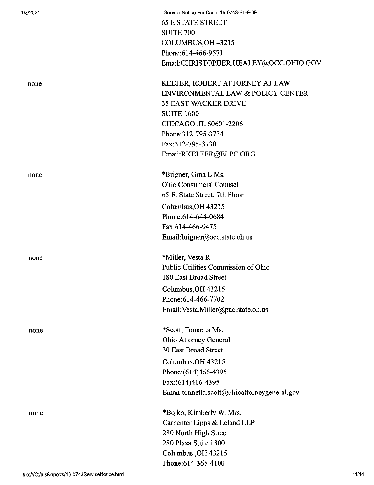|                                                 | <b>65 E STATE STREET</b>                     |       |
|-------------------------------------------------|----------------------------------------------|-------|
|                                                 | <b>SUITE 700</b>                             |       |
|                                                 | COLUMBUS, OH 43215                           |       |
|                                                 | Phone: 614-466-9571                          |       |
|                                                 | Email:CHRISTOPHER.HEALEY@OCC.OHIO.GOV        |       |
| none                                            | KELTER, ROBERT ATTORNEY AT LAW               |       |
|                                                 | ENVIRONMENTAL LAW & POLICY CENTER            |       |
|                                                 | <b>35 EAST WACKER DRIVE</b>                  |       |
|                                                 | <b>SUITE 1600</b>                            |       |
|                                                 | CHICAGO, IL 60601-2206                       |       |
|                                                 | Phone: 312-795-3734                          |       |
|                                                 | Fax:312-795-3730                             |       |
|                                                 | Email:RKELTER@ELPC.ORG                       |       |
| none                                            | *Brigner, Gina L Ms.                         |       |
|                                                 | <b>Ohio Consumers' Counsel</b>               |       |
|                                                 | 65 E. State Street, 7th Floor                |       |
|                                                 | Columbus, OH 43215                           |       |
|                                                 | Phone: 614-644-0684                          |       |
|                                                 | Fax:614-466-9475                             |       |
|                                                 | Email:brigner@occ.state.oh.us                |       |
| none                                            | *Miller, Vesta R                             |       |
|                                                 | Public Utilities Commission of Ohio          |       |
|                                                 | 180 East Broad Street                        |       |
|                                                 | Columbus, OH 43215                           |       |
|                                                 | Phone: 614-466-7702                          |       |
|                                                 | Email: Vesta.Miller@puc.state.oh.us          |       |
| none                                            | *Scott, Tonnetta Ms.                         |       |
|                                                 | <b>Ohio Attorney General</b>                 |       |
|                                                 | 30 East Broad Street                         |       |
|                                                 | Columbus, OH 43215                           |       |
|                                                 | Phone: (614) 466-4395                        |       |
|                                                 | Fax:(614)466-4395                            |       |
|                                                 | Email:tonnetta.scott@ohioattorneygeneral.gov |       |
| none                                            | *Bojko, Kimberly W. Mrs.                     |       |
|                                                 | Carpenter Lipps & Leland LLP                 |       |
|                                                 | 280 North High Street                        |       |
|                                                 | 280 Plaza Suite 1300                         |       |
|                                                 | Columbus, OH 43215                           |       |
|                                                 | Phone: 614-365-4100                          |       |
| file:///C:/disReports/16-0743ServiceNotice.html |                                              | 11/14 |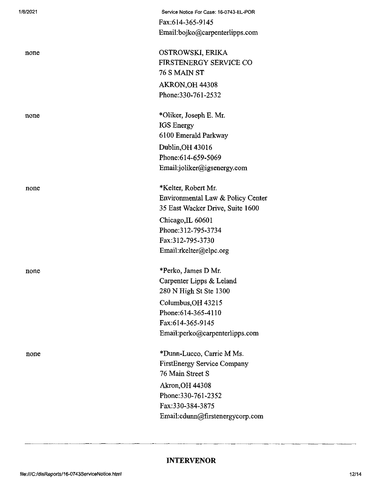| 1/8/2021 | Service Notice For Case: 16-0743-EL-POR |
|----------|-----------------------------------------|
|          | Fax:614-365-9145                        |
|          | Email:bojko@carpenterlipps.com          |
| none     | OSTROWSKI, ERIKA                        |
|          | FIRSTENERGY SERVICE CO                  |
|          | 76 S MAIN ST                            |
|          | AKRON, OH 44308                         |
|          | Phone: 330-761-2532                     |
| none     | *Oliker, Joseph E. Mr.                  |
|          | <b>IGS</b> Energy                       |
|          | 6100 Emerald Parkway                    |
|          | Dublin, OH 43016                        |
|          | Phone:614-659-5069                      |
|          | Email:joliker@igsenergy.com             |
| none     | *Kelter, Robert Mr.                     |
|          | Environmental Law & Policy Center       |
|          | 35 East Wacker Drive, Suite 1600        |
|          | Chicago, IL 60601                       |
|          | Phone: 312-795-3734                     |
|          | Fax:312-795-3730                        |
|          | Email:rkelter@elpc.org                  |
| none     | *Perko, James D Mr.                     |
|          | Carpenter Lipps & Leland                |
|          | 280 N High St Ste 1300                  |
|          | Columbus, OH 43215                      |
|          | Phone:614-365-4110                      |
|          | Fax:614-365-9145                        |
|          | Email:perko@carpenterlipps.com          |
| none     | *Dunn-Lucco, Carrie M Ms.               |
|          | <b>FirstEnergy Service Company</b>      |
|          | 76 Main Street S                        |
|          | <b>Akron, OH 44308</b>                  |
|          | Phone: 330-761-2352                     |
|          | Fax:330-384-3875                        |
|          | Email:cdunn@firstenergycorp.com         |
|          |                                         |

# **INTERVENOR**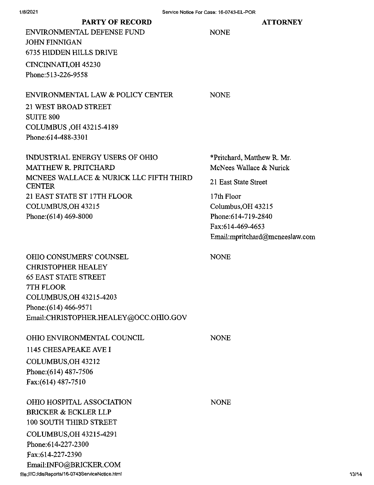### **ATTORNEY**

**PARTY OF RECORD** ENVIRONMENTAL DEFENSE FUND JOHN FINNIGAN 6735 HIDDEN HILLS DRIVE CINCINNATI,OH 45230 Phone:513-226-9558

### ENVIRONMENTAL LAW & POLICY CENTER

NONE

NONE

21 WEST BROAD STREET SUITE 800 COLUMBUS ,OH 43215-4189 Phone:614-488-3301

INDUSTRIAL ENERGY USERS OF OHIO MATTHEW R. PRITCHARD MCNEES WALLACE & NURICK LLC FIFTH THIRD CENTER 21 EAST STATE ST 17TH FLOOR COLUMBUS,OH 43215 Phone:(614) 469-8000

\*Pritchard, Matthew R. Mr. McNees Wallace & Nurick

21 East State Street

17th Floor Columbus,OH 43215 Phone:614-719-2840 Fax:614-469-4653 Email:mpritchard@tncneeslaw.com

OHIO CONSUMERS' COUNSEL CHRISTOPHER HEALEY 65 EAST STATE STREET 7TH FLOOR COLUMBUS,OH 43215-4203 Phone:(614) 466-9571 Email:CHRISTOPHER.HEALEY@OCC.OHIO.GOV

OHIO ENVIRONMENTAL COUNCIL

**NONE** 

NONE

1145 CHESAPEAKE AVE I COLUMBUS,OH 43212 Phone:(614) 487-7506 Fax:(614) 487-7510

OHIO HOSPITAL ASSOCIATION BRICKER & ECKLER LLP 100 SOUTH THIRD STREET COLUMBUS,OH 43215-4291 Phone:614-227-2300 Fax:614-227-2390 Email:INFO@BRICKER.COM file:///C;/disReports/16-0743ServiceNotice.htmI

NONE